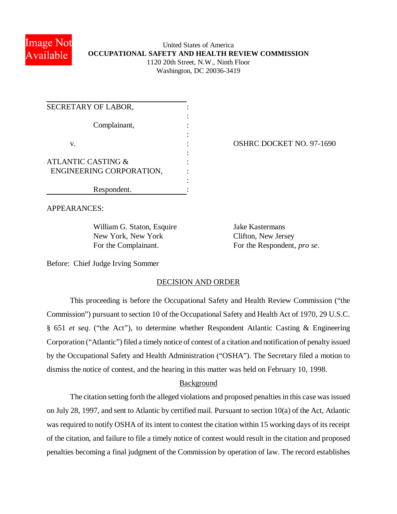

## United States of America **OCCUPATIONAL SAFETY AND HEALTH REVIEW COMMISSION** 1120 20th Street, N.W., Ninth Floor Washington, DC 20036-3419

| SECRETARY OF LABOR,           |  |
|-------------------------------|--|
| Complainant,                  |  |
| V.                            |  |
|                               |  |
| <b>ATLANTIC CASTING &amp;</b> |  |
| ENGINEERING CORPORATION,      |  |
|                               |  |
| Respondent.                   |  |

## OSHRC DOCKET NO. 97-1690

APPEARANCES:

William G. Staton, Esquire Jake Kastermans New York, New York Clifton, New Jersey

For the Complainant. For the Respondent, *pro se*.

Before: Chief Judge Irving Sommer

### DECISION AND ORDER

This proceeding is before the Occupational Safety and Health Review Commission ("the Commission") pursuant to section 10 of the Occupational Safety and Health Act of 1970, 29 U.S.C. § 651 *et seq*. ("the Act"), to determine whether Respondent Atlantic Casting & Engineering Corporation ("Atlantic") filed a timely notice of contest of a citation and notification of penalty issued by the Occupational Safety and Health Administration ("OSHA"). The Secretary filed a motion to dismiss the notice of contest, and the hearing in this matter was held on February 10, 1998.

### Background

The citation setting forth the alleged violations and proposed penalties in this case was issued on July 28, 1997, and sent to Atlantic by certified mail. Pursuant to section 10(a) of the Act, Atlantic was required to notify OSHA of its intent to contest the citation within 15 working days of its receipt of the citation, and failure to file a timely notice of contest would result in the citation and proposed penalties becoming a final judgment of the Commission by operation of law. The record establishes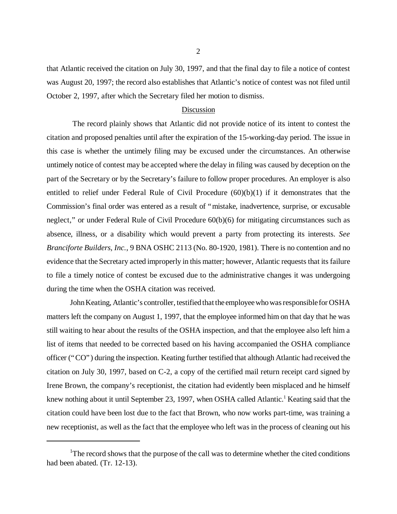that Atlantic received the citation on July 30, 1997, and that the final day to file a notice of contest was August 20, 1997; the record also establishes that Atlantic's notice of contest was not filed until October 2, 1997, after which the Secretary filed her motion to dismiss.

#### Discussion

 The record plainly shows that Atlantic did not provide notice of its intent to contest the citation and proposed penalties until after the expiration of the 15-working-day period. The issue in this case is whether the untimely filing may be excused under the circumstances. An otherwise untimely notice of contest may be accepted where the delay in filing was caused by deception on the part of the Secretary or by the Secretary's failure to follow proper procedures. An employer is also entitled to relief under Federal Rule of Civil Procedure (60)(b)(1) if it demonstrates that the Commission's final order was entered as a result of "mistake, inadvertence, surprise, or excusable neglect," or under Federal Rule of Civil Procedure 60(b)(6) for mitigating circumstances such as absence, illness, or a disability which would prevent a party from protecting its interests. *See Branciforte Builders, Inc.*, 9 BNA OSHC 2113 (No. 80-1920, 1981). There is no contention and no evidence that the Secretary acted improperly in this matter; however, Atlantic requests that its failure to file a timely notice of contest be excused due to the administrative changes it was undergoing during the time when the OSHA citation was received.

John Keating, Atlantic's controller, testified that the employee who was responsible for OSHA matters left the company on August 1, 1997, that the employee informed him on that day that he was still waiting to hear about the results of the OSHA inspection, and that the employee also left him a list of items that needed to be corrected based on his having accompanied the OSHA compliance officer ("CO") during the inspection. Keating further testified that although Atlantic had received the citation on July 30, 1997, based on C-2, a copy of the certified mail return receipt card signed by Irene Brown, the company's receptionist, the citation had evidently been misplaced and he himself knew nothing about it until September 23, 1997, when OSHA called Atlantic.<sup>1</sup> Keating said that the citation could have been lost due to the fact that Brown, who now works part-time, was training a new receptionist, as well as the fact that the employee who left was in the process of cleaning out his

<sup>&</sup>lt;sup>1</sup>The record shows that the purpose of the call was to determine whether the cited conditions had been abated. (Tr. 12-13).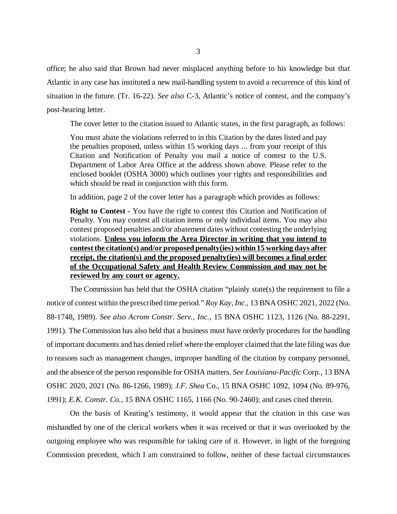office; he also said that Brown had never misplaced anything before to his knowledge but that Atlantic in any case has instituted a new mail-handling system to avoid a recurrence of this kind of situation in the future. (Tr. 16-22). *See also* C-3, Atlantic's notice of contest, and the company's post-hearing letter.

The cover letter to the citation issued to Atlantic states, in the first paragraph, as follows:

You must abate the violations referred to in this Citation by the dates listed and pay the penalties proposed, unless within 15 working days ... from your receipt of this Citation and Notification of Penalty you mail a notice of contest to the U.S. Department of Labor Area Office at the address shown above. Please refer to the enclosed booklet (OSHA 3000) which outlines your rights and responsibilities and which should be read in conjunction with this form.

In addition, page 2 of the cover letter has a paragraph which provides as follows:

**Right to Contest** - You have the right to contest this Citation and Notification of Penalty. You may contest all citation items or only individual items. You may also contest proposed penalties and/or abatement dates without contesting the underlying violations. **Unless you inform the Area Director in writing that you intend to contest the citation(s) and/or proposed penalty(ies) within 15 working days after receipt, the citation(s) and the proposed penalty(ies) will becomes a final order of the Occupational Safety and Health Review Commission and may not be reviewed by any court or agency.**

The Commission has held that the OSHA citation "plainly state(s) the requirement to file a notice of contest within the prescribed time period." *Roy Kay, Inc.*, 13 BNA OSHC 2021, 2022 (No. 88-1748, 1989). *See also Acrom Constr. Serv., Inc.*, 15 BNA OSHC 1123, 1126 (No. 88-2291, 1991). The Commission has also held that a business must have orderly procedures for the handling of important documents and has denied relief where the employer claimed that the late filing was due to reasons such as management changes, improper handling of the citation by company personnel, and the absence of the person responsible for OSHA matters. *See Louisiana-Pacific* Corp., 13 BNA OSHC 2020, 2021 (No. 86-1266, 1989); *J.F. Shea* Co., 15 BNA OSHC 1092, 1094 (No. 89-976, 1991); *E.K. Constr. Co.*, 15 BNA OSHC 1165, 1166 (No. 90-2460); and cases cited therein.

On the basis of Keating's testimony, it would appear that the citation in this case was mishandled by one of the clerical workers when it was received or that it was overlooked by the outgoing employee who was responsible for taking care of it. However, in light of the foregoing Commission precedent, which I am constrained to follow, neither of these factual circumstances